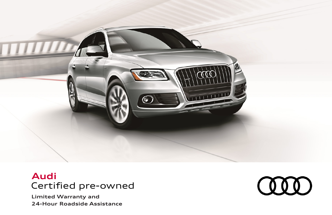

# Certified pre-owned **Audi**

**Limited Warranty and 24-Hour Roadside Assistance**

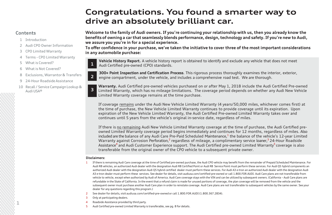### **Congratulations. You found a smarter way to drive an absolutely brilliant car.**

### <span id="page-1-0"></span>**Contents**

**1**

- [1 Introduction](#page-1-0)
- [2 Audi CPO Owner Information](#page-2-0)
- [3 CPO Limited Warranty](#page-3-0)
- 4 Terms [CPO Limited Warranty](#page-4-0)
- [5 What is](#page-5-0) Covered?
- [6 What is Not Covered?](#page-6-0)
- [8 Exclusions, Warrantor & Transfers](#page-8-0)
- 9 24-Hour Roadside Assistance
- [10 Recall / Service Campaign Lookup &](#page-10-0)  Audi USA®

**Welcome to the family of Audi owners. If you're continuing your relationship with us, then you already know the benefits of owning a car that seamlessly blends performance, design, technology and safety. If you're new to Audi, we assure you you're in for a special experience.**

**To offer confidence in your purchase, we've taken the initiative to cover three of the most important considerations in any automobile purchase:**

**Vehicle History Report.** A vehicle history report is obtained to identify and exclude any vehicle that does not meet Audi Certified pre-owned (CPO) standards.

**300+ Point Inspection and Certification Process**. This rigorous process thoroughly examines the interior, exterior, engine compartment, under the vehicle, and includes a comprehensive road test. We are thorough. **2**

**Warranty.** Audi Certified pre-owned vehicles purchased on or after May 1, 2018 include the Audi Certified Pre-owned Limited Warranty, which has no mileage limitations. The coverage period depends on whether any Audi New Vehicle Limited Warranty coverage remains at the time purchase. **3**

If coverage remains under the Audi New Vehicle Limited Warranty (4 years/50,000 miles, whichever comes first) at the time of purchase, the New Vehicle Limited Warranty continues to provide coverage until its expiration. Upon expiration of the New Vehicle Limited Warranty, the Audi Certified Pre-owned Limited Warranty takes over and continues until 5 years from the vehicle's original in-service date, regardless of miles.

If there is no remaining Audi New Vehicle Limited Warranty coverage at the time of purchase, the Audi Certified preowned Limited Warranty coverage period begins immediately and continues for 12 months, regardless of miles. Also included are the balance of any Audi Care Pre-Paid Scheduled Maintenance, $1$  the balance of the vehicle's 12-year Limited Warranty against Corrosion Perforation,<sup>2</sup> regardless of mileage, a complimentary service loaner,<sup>3</sup> 24-Hour Roadside Assistance<sup>4</sup> and Audi Customer Experience support. The Audi Certified pre-owned Limited Warranty<sup>5</sup> coverage is also transferable from the original owner of the CPO vehicle to a subsequent private owner.

#### **Disclaimers:**

**1**

- 1 If there is remaining Audi Care coverage at the time of Certified pre-owned purchase, the Audi CPO vehicle may benefit from the remainder of Prepaid Scheduled Maintenance. For Audi R8 vehicles, an authorized Audi dealer with the designation Audi R8 Certified Point or Audi R8 Service Point must perform these services. For Audi Q5 hybrid components an authorized Audi dealer with the designation Audi Q5 hybrid certified dealer must perform these services. For Audi A3 e-tron an authorized Audi dealer with the designation Audi A3 e-tron dealer must perform these services. See dealer for details, visit audiusa.com/certified-pre-owned or call 1.800.FOR.AUDI. Audi Care plans are not transferable from vehicle to vehicle, except when authorized by Audi of America. Audi Care coverage stays with the VIN and can be utilized by subsequent owners. (California - Audi Care plans are refundable in the State of California. In the event that a refund claim is made for unused portions of coverage, the plan coverage will be removed from the vehicle and the subsequent owner must purchase another Audi Care plan in order to reinstate coverage. Audi Care plans are not transferable to subsequent vehicles by the same owner. See your dealer for any questions regarding this program.)
- 2 See dealer for details, visit audiusa.com/certified-pre-owned or call 1.800.FOR.AUDI (1.800.367.2834).
- 3 Only at participating dealers.
- 4 Roadside Assistance provided by third party.
- 5 Audi Certified pre-owned Limited Warranty is transferable, see pg. 8 for details.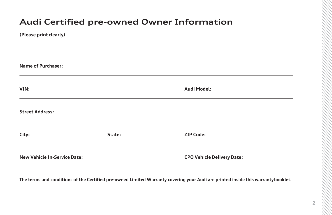## <span id="page-2-0"></span>**Audi Certified pre-owned Owner Information**

| (Please print clearly) |  |
|------------------------|--|
|                        |  |

| <b>Name of Purchaser:</b>           |        |                                   |  |
|-------------------------------------|--------|-----------------------------------|--|
| VIN:                                |        | Audi Model:                       |  |
| <b>Street Address:</b>              |        |                                   |  |
| City:                               | State: | <b>ZIP Code:</b>                  |  |
| <b>New Vehicle In-Service Date:</b> |        | <b>CPO Vehicle Delivery Date:</b> |  |

**The terms and conditions of the Certified pre-owned Limited Warranty covering your Audi are printed inside this warrantybooklet.**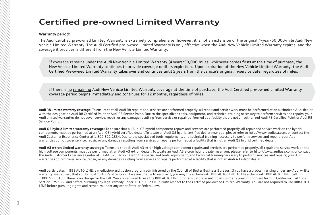### <span id="page-3-0"></span>**Certified pre-owned Limited Warranty**

### **Warranty period:**

The Audi Certified pre-owned Limited Warranty is extremely comprehensive; however, it is not an extension of the original 4-year/50,000-mile Audi New Vehicle Limited Warranty. The Audi Certified pre-owned Limited Warranty is only effective when the Audi New Vehicle Limited Warranty expires, and the coverage it provides is different from the New Vehicle LimitedWarranty.

If coverage remains under the Audi New Vehicle Limited Warranty (4 years/50,000 miles, whichever comes first) at the time of purchase, the New Vehicle Limited Warranty continues to provide coverage until its expiration. Upon expiration of the New Vehicle Limited Warranty, the Audi Certified Pre-owned Limited Warranty takes over and continues until 5 years from the vehicle's original in-service date, regardless of miles.

If there is no remaining Audi New Vehicle Limited Warranty coverage at the time of purchase, the Audi Certified pre-owned Limited Warranty coverage period begins immediately and continues for 12 months, regardless of miles.

**Audi R8 limited warranty coverage:** To ensure that all Audi R8 repairs and services are performed properly, all repair and service work must be performed at an authorized Audi dealer with the designation Audi R8 Certified Point or Audi R8 Service Point. Due to the specialized tools, equipment, and technical training necessary to perform services and repairs, your Audi limited warranties do not cover service, repair, or any damage resulting from service or repair performed at a facility that is not an authorized Audi R8 Certified Point or Audi R8 Service Point.

**Audi Q5 hybrid limited warranty coverage:** To ensure that all Audi Q5 hybrid component repairs and services are performed properly, all repair and service work on the hybrid components must be performed at an Audi Q5 hybrid certified dealer. To locate an Audi Q5 hybrid certified dealer near you, please refer to [http://www.audiusa.com,](http://www.audiusa.com/) or contact the Audi Customer Experience Center at 1.800.822.2834. Due to the specialized tools, equipment, and technical training necessary to perform services and repairs, your Audi warranties do not cover service, repair, or any damage resulting from services or repairs performed at a facility that is not an Audi Q5 hybrid certified dealer.

**Audi A3 e-tron limited warranty coverage:** To ensure that all Audi A3-etron high voltage component repairs and services are performed properly, all repair and service work on the high voltage components must be performed at an Audi A3 e-tron dealer. To locate an Audi A3 e-tron hybrid dealer near you, please refer to [http://www.audiusa.com,](http://www.audiusa.com/) or contact the Audi Customer Experience Center at 1.844.573.8766. Due to the specialized tools, equipment, and technical training necessary to perform services and repairs, your Audi warranties do not cover service, repair, or any damage resulting from services or repairs performed at a facility that is not an Audi A3 e-tron dealer.

Audi participates in BBB AUTO LINE, a mediation/arbitration program administered by the Council of Better Business Bureaus. If you have a problem arising under any Audi written warranty, we request that you bring it to Audi's attention. If we are unable to resolve it, you may file a claim with BBB AUTO LINE. To file a claim with BBB AUTO LINE, call 1.800.955.5100. There is no charge for the call. You are required to use the BBB AUTO LINE program before asserting in court any presumption set forth in California Civil Code Section 1793.22, and before pursuing any legal remedy under 15 U.S.C. 2310(d) with respect to the Certified pre-owned Limited Warranty. You are not required to use BBBAUTO LINE before pursuing rights and remedies under any other State or Federal law.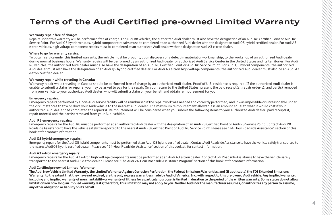## <span id="page-4-0"></span>**Terms of the Audi Certified pre-owned Limited Warranty**

#### **Warranty repair free of charge:**

Repairs under this warranty will be performed free of charge. For Audi R8 vehicles, the authorized Audi dealer must also have the designation of an Audi R8 Certified Point or Audi R8 Service Point. For Audi Q5 hybrid vehicles, hybrid component repairs must be completed at an authorized Audi dealer with the designation Audi Q5 hybrid certified dealer. For Audi A3 e-tron vehicles, high voltage component repairs must be completed at an authorized Audi dealer with the designation Audi A3 e-tron dealer.

#### **Where to go for warranty service:**

To obtain service under this limited warranty, the vehicle must be brought, upon discovery of a defect in material or workmanship, to the workshop of an authorized Audi dealer during normal business hours. Warranty repairs will be performed by an authorized Audi dealer or authorized Audi Service Center in the United States and its territories. For Audi R8 vehicles, the authorized Audi dealer must also have the designation of an Audi R8 Certified Point or Audi R8 Service Point. For Audi Q5 hybrid components, the authorized Audi dealer must also have the designation of an Audi O5 hybrid certified dealer. For Audi A3 e-tron high voltage components, the authorized Audi dealer must also be an Audi A3 e-tron certified dealer.

#### **Warranty repair while traveling in Canada:**

Warranty repair while traveling in Canada should be performed free of charge by an authorized Audi dealer. Proof of U.S. residence is required. If the authorized Audi dealer is unable to submit a claim for repairs, you may be asked to pay for the repair. On your return to the United States, present the paid receipt(s), repair order(s), and part(s) removed from your vehicle to your authorized Audi dealer, who will submit a claim on your behalf and obtain reimbursement for you.

#### **Emergency repairs:**

Emergency repairs performed by a non-Audi service facility will be reimbursed if the repair work was needed and correctly performed, and it was impossible or unreasonable under the circumstances to tow or drive your Audi vehicle to the nearest Audi dealer. The maximum reimbursement allowable is an amount equal to what it would cost if your authorized Audi dealer had completed the repair(s). Reimbursement will be considered when you submit the following items to your authorized Audi dealer: paid receipt(s), repair order(s) and the part(s) removed from your Audi vehicle.

#### **Audi R8 emergency repairs:**

Emergency repairs for the Audi R8 must be performed at an authorized Audi dealer with the designation of an Audi R8 Certified Point or Audi R8 Service Point. Contact Audi R8 Roadside Assistance to have the vehicle safely transported to the nearest Audi R8 Certified Point or Audi R8 Service Point. Please see "24-HourRoadside Assistance" section of this booklet for contact information.

#### **Audi Q5 hybrid emergency repairs:**

Emergency repairs for the Audi Q5 hybrid components must be performed at an Audi Q5 hybrid certified dealer. Contact Audi Roadside Assistanceto have the vehicle safely transported to the nearest AudiO5 hybrid certified dealer. Please see "24-Hour Roadside Assistance" section of this booklet for contact information.

#### **Audi A3 e-tron emergency repairs:**

Emergency repairs for the Audi A3 e-tron high voltage components must be performed at an Audi A3 e-tron dealer. Contact Audi Roadside Assistance to have the vehicle safely transported to the nearest Audi A3 e-tron dealer. Please see "The Audi 24-Hour Roadside Assistance Program" section of this booklet for contact information.

#### **AudiCertifiedpre-owned Limited Warranty:**

The Audi New Vehicle Limited Warranty, the Limited Warranty Against Corrosion Perforation, the Federal Emissions Warranties, and (if applicable) the TDI Extended Emissions Warranty, to the extent that they have not expired, are the only express warranties made by Audi of America. Inc. with respect to this pre-owned Audi vehicle. Any implied warranty, including and implied warranty of merchantability or warranty of fitness for a particular purpose, is limited in duration to the period of the written warranty. Some states do not allow limitations on how long an implied warranty lasts: therefore, this limitation may not apply to you. Neither Audi nor the manufacturer assumes, or authorizes any person to assume, **any other obligation or liability on its behalf.**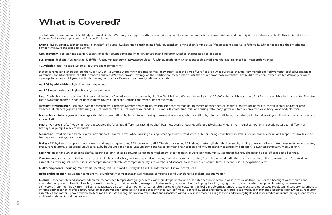### <span id="page-5-0"></span>**What is Covered?**

The following items have Audi Certified pre-owned Limited Warranty coverage on authorized repairs to correct a manufacturer's defect in materials or workmanship (i.e. a mechanical defect). This list is not inclusive. See your Audi service representative for specific items.

**Engine** - block, pistons, connecting rods, crankshaft, oil pump, flywheel (non-clutch-related failure), camshaft, timing chain/timing belts (if maintenance interval is followed), cylinder heads and their mechanical components, ECM and associated wiring.

**Cooling system** - radiator, radiator fan, expansion tank, coolant pump and impeller, actuation and indicator switches, thermostat, coolant pipes.

Fuel system - fuel tank, fuel tank cap, fuel filler, fuel pump, fuel pump relays, accumulator, fuel lines, accelerator switches and cables, intake manifold, idle air stabilizer, mass airflow sensor.

**TDI vehicles** - fuel injection systems, reductive agent components.

If there is remaining coverage from the Audi New Vehicle LimitedWarranty or applicable emissions warranties at the time of Certified pre-owned purchase, the Audi New Vehicle Limited Warranty, applicable emissions warranties, and (if applicable) the TDI Extended Emissions Warranty provide coverage on the Certified pre-owned vehicle until the expiration of those warranties. The Audi Certified pre-owned Limited Warranty provides coverage for a period of1 year or unlimited miles, not to exceed 5 years from the originalin-servicedate.

**Audi Q5 hybrid vehicles** - hybrid system components.

**Audi A3 e-tron vehicles** – high voltage system components.

Note: The high voltage battery and battery module for the Audi A3 e-tron are covered by the New Vehicle Limited Warranty for 8 years/100,000 miles, whichever occurs first from the vehicle's in-service date. Therefore these two components are not included in items covered under the Certified pre-owned Limited Warranty.

Automatic transmission - selector lever and mechanism, Tiptronic® switches and controls, transmission control module, transmission speed sensor, mounts, multifunction switch, shift lever lock and associated switches, all planetary gears and bearings, all internal clutches, all internal brake bands, ATF pump, ATF cooler transmission housing, valve body, governor, torque converter, valve body, valve body electrical.

Manual transmission - gearshift lever, gearshift block, gearshift cable, transmission housing, transmission mounts, internal shift rods, internal shift forks, main shaft, all internal bearings and bushings, all synchronize all gear sets.

Final drive - prop shafts (not CV joints or boots), prop shaft flanges, differential case, drive shaft bearings, bearing housing, differential locks, all-wheel drive internal components, speedometer gear, differential bearings, oil pump, Haldex components.

Suspension - front axle sub frame, control arm supports, control arms, wheel bearing housing, steering knuckle, front wheel hub, coil springs, stabilizer bar, stabilizer links, rear axle beam and support, stub axles, rear bearings and housings, rear springs.

Brakes - ABS hydraulic pump and lines, warning and requlating switches, ABS control unit, all ABS wiring harnesses, ABS relays, master cylinder, fluid reservoir, parking brake and all associated lever switches and cables, pressure regulators, pressure accumulators, all hydraulic lines and hoses, vacuum pump and hoses, front and rear calipers and mounts (not for seizing from corrosion), power assist vacuum/hydraulic unit.

Steering - upper and lower steering shafts, steering column, steering column adjustment mechanism, steering gear, power steering pump, all associated hydraulic hoses and pipes, all associated bearings.

Climate controls - heater control unit, heater control cables and valves, heater core, ambient sensor, fresh air controls and cables, fresh air blower, distribution ducts and outlets, all vacuum motors, a/c control unit, a associated a/c wiring, interior sensors, a/c compressor and clutch, a/c compressor relay, a/c switches and sensors, a/c receiver drier, accumulator, a/c condenser, a/c expansion valve.

**MMI**® **components, including:** MultimediaOperatingUnit, Multimedia DisplayUnit and ECM InformationDisplayControlHead.

**Radio and navigation-** Navigationcomponents, sound system components,includingradios, compactdisc and DVD players, speakers, and subwoofer.

**Electrical** - speedometer and sensors, odometer, tachometer, temperature gauges, horns, windshield wiper motor and associated sensor, windshield washer reservoir,fluid level sensor, headlight washer pump and associated components, headlight switch, brake light switch, turn signal switch, emergency flasher switch, door switches, backup light switch, fog light switch, alarm system components, wiring harnesses and connectors (non-modified by aftermarket installations), cruise control components, starter, alternator, ignition coils, ignition locks and electrical components, knock sensors, voltage regulators, distributor assemblies, infrared entry receiver (not for battery replacement), powerdoor actuators and associated switches, sunroof motor, sunroof switches and relays, convertible top hydraulic motor and associated wiring, window regulator assemblies and motors, power window switches and associated wiring, sideview mirror motors and associated wiring, sun shade motor, airbag sensors and warning lights and associated components, airbags, seat motors and hearing elements and their relays.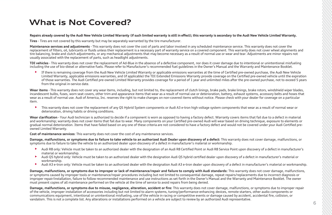### <span id="page-6-0"></span>**What is Not Covered?**

#### Repairs already covered by the Audi New Vehicle Limited Warranty (if such limited warranty is still in effect); this warranty is secondary to the Audi New Vehicle Limited Warranty.

**Tires** - Tires are not covered by this warranty but may be separately warranted by the tire manufacturer.

**Maintenance services and adjustments** - This warranty does not cover the cost of parts and labor involved in any scheduled maintenance service. This warranty does not cover the replacement of filters, oil, lubricants or fluids unless their replacement is a necessary part of warranty service on a covered component. This warranty does not cover wheel alignments and tire balancing, brake and clutch adjustments, or any mechanical adjustments that may become necessary as a result of normal use or wear and tear. Adjustments are minor repairs not usually associated with the replacement of parts, such as headlight adjustments.

**TDI vehicles** - This warranty does not cover the replacement of Ad-Blue in the absence of a defective component, nor does it cover damage due to intentional or unintentional misfueling including the use of bio-diesel or alternative fuels. Please refer to Manufacturer's recommended fuel guidelines in the Owner's Manual and the Warranty and Maintenance Booklet.

► If there is remaining coverage from the Audi New Vehicle Limited Warranty or applicable emissions warranties at the time of Certified pre-owned purchase, the Audi New Vehicle Limited Warranty, applicable emissions warranties, and (if applicable) the TDI Extended Emissions Warranty provide coverage on the Certified pre-owned vehicle until the expiration of those warranties. The Audi Certified pre-owned Limited Warranty provides coverage for a period of 1 year and unlimited miles after the pre-owned purchase, not to exceed 5 years from the original in-service date.

Wear items - This warranty does not cover any wear items, including, but not limited to, the replacement of clutch linings, brake pads, brake linings, brake rotors, windshield wiper blades, incandescent bulbs, fuses, worn seat covers, other trim and appearance items that wear as a result of normal use or deterioration, battery, exhaust systems, accessory belts and hoses that wear as a result of normal use. Audi of America, Inc. reserves the right to make changes on non-covered items without notice. Please check with your dealer for coverage on a particular item.

This warranty does not cover the replacement of any Q5 Hybrid System components or Audi A3 e-tron high voltage system components that wear as a result of normal wear or deterioration, driving habits or driving conditions.

Wear clarification - Your Audi technician is authorized to decide if a component is worn as opposed to having a factory defect. Warranty covers items that fail due to a defect in material and workmanship; warranty does not cover items that fail due to wear. Many components on your Certified pre-owned Audi will wear based on driving technique, exposure to elements or gradual normal deterioration. Items that have failed based on any one of these criteria are not considered to have a factory defect and would not be covered under your Audi Certified preowned Limited Warranty.

**Cost of maintenance services**: This warranty does not cover the cost of any maintenance services.

Damage, malfunctions, or symptoms due to failure to take vehicle to an authorized Audi Dealer upon discovery of a defect: This warranty does not cover damage, malfunctions, or symptoms due to failure to take the vehicle to an authorized dealer upon discovery of a defect in manufacturer's material or workmanship.

- ► Audi R8 only: Vehicle must be taken to an authorized dealer with the designation of an Audi R8 Certified Point or Audi R8 Service Point upon discovery of a defect in manufacturer's material or workmanship.
- Audi Q5 hybrid only: Vehicle must be taken to an authorized dealer with the designation Audi Q5 hybrid certified dealer upon discovery of a defect in manufacturer's material or workmanship.
- ▶ Audi A3 e-tron only: Vehicle must be taken to an authorized dealer with the designation Audi A3 e-tron dealer upon discovery of a defect in manufacturer's material or workmanship.

**Damage, malfunctions, or symptoms due to improper or lack of maintenance/repair and failure to comply with Audi standards:** This warranty does not cover damage, malfunctions, or symptoms caused by improper tools or maintenance/repair procedures including but not limited to consequential damage, repeat repairs/replacements due to incorrect diagnosis or improper repair/installation, failure to follow recommended maintenance and use instructions as set forth in the Owner's Manual and the Warranty and Maintenance Booklet. The owner must present copies of all maintenance performed on the vehicle at the time of service to avoid repairs from being denied.

**Damage, malfunctions, or symptoms due to misuse, negligence, alteration, accident or fire:** This warranty does not cover damage, malfunctions, or symptoms due to improper repair of the vehicle, improper installation of accessories including but not limited to alarm systems, tuning/performance-enhancing devices, remote starters, other audio components or communications equipment, intentional or unintentional misfueling, use of the vehicle in racing or competitive events or damage caused by accident, accidental fire, collision, or vandalism. This is not a complete list. Any alterations or installations performed on a vehicle are subject to review by an authorized Audi representative.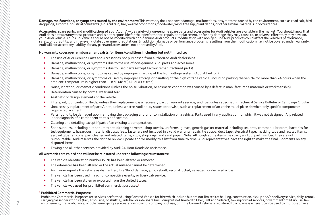**Damage, malfunctions,or symptoms caused by the environment:** This warranty does not cover damage, malfunctions, or symptoms caused by the environment, such as road salt, bird droppings, airborne industrial pollutants (e.g. acid rain) fire, weather conditions, floodwater, wind, tree sap, plant debris, or other similar materials or occurrences.

**Accessories, spare parts, and modificationsof your Audi:** A wide variety of non-genuine spare parts and accessories for Audi vehicles are availablein the market.You should know that Audi does not warranty these products and is not responsiblefor their performance, repair,or replacement,or for any damage they may cause to, or adverse effect they may have on, your Audi vehicle.Your Audi vehicle should not be modified with non-genuine Audi products. Modification with non-genuine Audi products could affect the vehicle's performance, safety, or durability, and may even violate government regulations. In addition, damage or performance problems resulting from the modification may not be covered under warranty. Audi willnot acceptany liability for any partsand accessories not approvedbyAudi.

#### **No warranty coverage/reimbursement exists for items/conditions including but not limited to:**

- The use of Audi Genuine Parts and Accessories not purchased from authorized Audi dealerships.
- Damage, malfunctions, or symptoms due to the use of non-genuine Audi parts and accessories.
- Damage, malfunctions, or symptoms due to used parts (except factory remanufactured parts).
- Damage, malfunctions, or symptoms caused by improper charging of the high voltage system (Audi A3 e-tron).
- Damage, malfunctions, or symptoms caused by improper storage or handling of the high voltage vehicle, including parking the vehicle for more than 24 hours when the ambient temperature is higher than 118 °F (48 °C) (Audi A3 e-tron).
- Noise, vibration, or cosmetic conditions (unless the noise, vibration, or cosmetic condition was caused by a defect in manufacturer's materials or workmanship).
- Deterioration caused by normal wear and tear.
- Aesthetic or design elements of the vehicle.
- Filters, oil, lubricants, or fluids, unless their replacement is a necessary part of warranty service, and fuel unless specified in Technical Service Bulletin or Campaign Circular.
- ► Unnecessary replacement of parts/units, unless written Audi policy states otherwise, such as replacement of an entire multi-piece kit when only specific components require replacement.
- Parts found to be damaged upon removing the packaging and prior to installation on a vehicle. Parts used in any application for which it was not designed. Any related labor diagnosis of a component that is not covered.
- Cleaning and detailing except if part of an existing labor operation.
- Shop supplies, including but not limited to cleaning solvents, shop towels, uniforms, gloves, generic gasket material including sealants, common lubricants, batteries for test equipment, hazardous material disposal fees, fasteners not included in a valid warranty repair, tie straps, duct tape, electrical tape, masking tape and related items, aerosol glue, silicone, part cleaner and related items, clips, shop rags, and sand paper. Note: Although some items may carry an Audi part number, they are not reimbursable. Audi reserves the right to review, update and/or modify this list from time to time. Audi representatives have the right to make the final judgments on any disputed items.
- ► Towing and all other services provided by Audi 24-Hour Roadside Assistance.

#### **All warrantiesare voidedand willnot be reinstatedunder the followingcircumstances:**

- The vehicle identification number (VIN) has been altered or removed.
- The odometer has been altered or the actual mileage cannot be determined.
- An insurer reports the vehicle as dismantled, fire/flood damage, junk, rebuilt, reconstructed, salvaged, or declared a loss.
- The vehicle has been used in racing, competitive events, or livery cab service.
- The vehicle has been stolen or exported from the United States.
- ► The vehicle was used for prohibited commercial purposes. 1

#### **<sup>1</sup> Prohibited CommercialPurposes:**

Prohibited Commercial Purposes are services performed using Covered Vehicle for hire which include but are not limited to: hauling, construction, pickup and/or delivery service, daily rental, carrying passengers for hire (taxi, limousine, or shuttle), ride hail or ride share (including but not limited to Uber, Lyft and Sidecar), towing or road services, government/ military use, law **7** enforcement, fire, ambulance, or other emergency services, snowplowing, company pool use, or if the Covered Vehicle is registered to a business where it can be used by multipledrivers.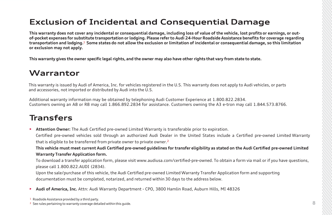## <span id="page-8-0"></span>**Exclusion of Incidental and Consequential Damage**

**This warranty does not cover any incidental or consequential damage, including loss of value of the vehicle, lost profits or earnings, or outof-pocket expenses for substitute transportation or lodging. Please refer to Audi 24-Hour Roadside Assistance benefits for coverage regarding transportation and lodging.**<sup>1</sup> **Some states do not allow the exclusion or limitation of incidental or consequential damage, so this limitation or exclusion may not apply.**

**This warranty gives the owner specific legal rights, and the owner may also have other rights that vary from state to state.**

### **Warrantor**

This warranty is issued by Audi of America, Inc. for vehicles registered in the U.S. This warranty does not apply to Audi vehicles, or parts and accessories, not imported or distributed by Audi into the U.S.

Additional warranty information may be obtained by telephoning Audi Customer Experience at 1.800.822.2834. Customers owning an A8 or R8 may call 1.866.892.2834 for assistance. Customers owning the A3 e-tron may call 1.844.573.8766.

### **Transfers**

► **Attention Owner:** The Audi Certified pre-owned Limited Warranty is transferable prior to expiration. Certified pre-owned vehicles sold through an authorized Audi Dealer in the United States include a Certified pre-owned Limited Warranty that is eligible to be transferred from private owner to private owner. 2

**This vehicle must meet current Audi Certified pre-owned guidelines for transfer eligibility as stated on the Audi Certified pre-owned Limited Warranty Transfer Application form.**

To download a transfer application form, please visit [www.audiusa.com/certified-pre-owned](http://www.audiusa.com/certified-pre-owned). To obtain a form via mail or if you have questions, please call 1.800.822.AUDI (2834).

Upon the sale/purchase of this vehicle, the Audi Certified pre-owned Limited Warranty Transfer Application form and supporting documentation must be completed, notarized, and returned within 30 days to the address below.

► **Audi of America, Inc.** Attn: Audi Warranty Department - CPO, 3800 Hamlin Road, Auburn Hills, MI 48326

<sup>&</sup>lt;sup>1</sup> Roadside Assistance provided by a third party.

<sup>&</sup>lt;sup>2</sup> See rules pertaining to warranty coverage detailed within this guide.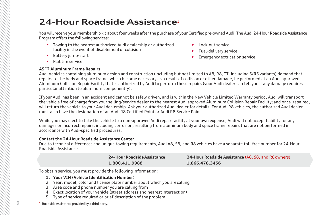## <span id="page-9-0"></span>**24-Hour Roadside Assistance**<sup>1</sup>

You will receive your membership kit about four weeks after the purchase of your Certified pre-owned Audi. The Audi 24-Hour Roadside Assistance Program offers the following services:

- ► Towing to the nearest authorized Audi dealership or authorized facility in the event of disablementor collision
- ► Battery jump-start
- ► Lock-out service
- ► Fuel-delivery service
- ► Emergency extrication service

► Flat tire service

### **ASF® Aluminum Frame Repairs**

Audi Vehicles containing aluminum design and construction (including but not limited to A8, R8, TT, including S/RS variants) demand that repairs to the body and space frame, which become necessary as a result of collision or other damage, be performed at an Audi approved Aluminum Collision Repair Facility that is authorized by Audi to perform these repairs (your Audi dealer can tell you if any damage requires particular attention to aluminum componentry).

If your Audi has been in an accident and cannot be safely driven, and is within the New Vehicle Limited Warranty period, Audi will transport the vehicle free of charge from your selling/service dealer to the nearest Audi approved Aluminum Collision Repair Facility; and once repaired, will return the vehicle to your Audi dealership. Ask your authorized Audi dealer for details. For Audi R8 vehicles, the authorized Audi dealer must also have the designation of an Audi R8 Certified Point or Audi R8 Service Point.

While you may elect to take the vehicle to a non-approved Audi repair facility at your own expense, Audi will not accept liability for any damages or incorrect repairs, including corrosion, resulting from aluminum body and space frame repairs that are not performed in accordance with Audi-specified procedures.

### **Contact the 24-Hour Roadside Assistance Center**

Due to technical differences and unique towing requirements, Audi A8, S8, and R8 vehicles have a separate toll-free number for 24-Hour Roadside Assistance.

> **24-HourRoadsideAssistance 1.800.411.9988**

**24-Hour Roadside Assistance** (A8, S8, and R8owners) **1.866.478.3456**

To obtain service, you must provide the following information:

- **1. Your VIN (Vehicle Identification Number)**
- 2. Year, model, color and license plate number about which you arecalling
- 3. Area code and phone number you are calling from
- 4. Exact location of your vehicle (street address and nearest intersection)
- 5. Type of service required or brief description of the problem

<sup>1</sup> Roadside Assistance provided by a third party.

**9**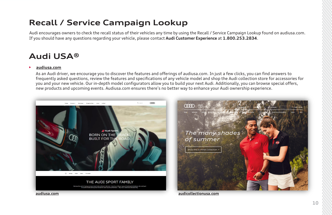## <span id="page-10-0"></span>**Recall / Service Campaign Lookup**

Audi encourages owners to check the recall status of their vehicles any time by using the Recall [/ Service Campaign Lookup](http://web.audiusa.com/recall/) found on [audiusa.com.](http://r20.rs6.net/tn.jsp?f=001KbAGmIU3R8_M3SX9KbcGVVavZhRCOt-BN7z2zEYeJev6efIuZa-xOboab1vYZfzpgosg65HiwTb86SvGScHiH17tf06FVn5wqUWBzLrTb8QMEzrRbhtbuaGpXhzkNKL2qrgc34XYCK1Qy7iBTWdCgA==&c=2WtJ0EyycVLS5aH32JhW4rcC3T-XpGY-3xEDggB5KE-HLcER3O0tPw==&ch=vK_Q0Tedjg-foRv_etgmlTUNg9Wg-CEuez3hcgHLHqvi4hMCZikfFQ==) If you should have any questions regarding your vehicle, please contact **Audi Customer Experience** at **1.800.253.2834**.

## **Audi USA®**

### ► **[audiusa.com](https://www.audiusa.com/)**

As an Audi driver, we encourage you to discover the features and offerings of audiusa.com. In just a few clicks, you can find answers to frequently asked questions, review the features and specifications of any vehicle model and shop the Audi collection store for accessories for you and your new vehicle. Our in-depth model configurators allow you to build your next Audi. Additionally, you can browse special offers, new products and upcoming events. Audiusa.com ensures there's no better way to enhance your Audi ownership experience.